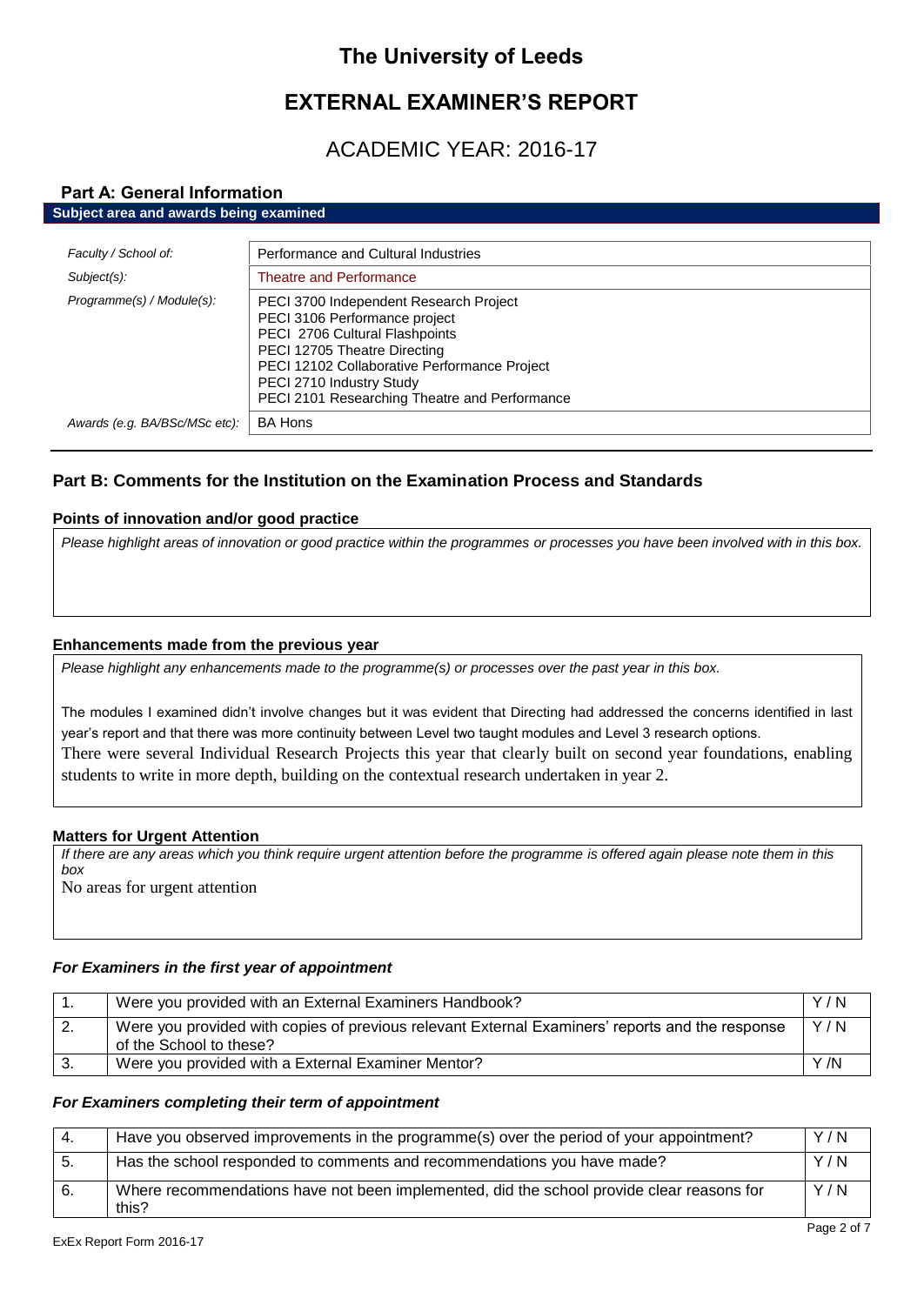# **The University of Leeds**

# **EXTERNAL EXAMINER'S REPORT**

# ACADEMIC YEAR: 2016-17

## **Part A: General Information Subject area and awards being examined**

| Faculty / School of:          | Performance and Cultural Industries                                                                                                                                                                                                                                    |
|-------------------------------|------------------------------------------------------------------------------------------------------------------------------------------------------------------------------------------------------------------------------------------------------------------------|
| Subject(s):                   | <b>Theatre and Performance</b>                                                                                                                                                                                                                                         |
| Programme(s) / Module(s):     | PECI 3700 Independent Research Project<br>PECI 3106 Performance project<br>PECI 2706 Cultural Flashpoints<br>PECI 12705 Theatre Directing<br>PECI 12102 Collaborative Performance Project<br>PECI 2710 Industry Study<br>PECI 2101 Researching Theatre and Performance |
| Awards (e.g. BA/BSc/MSc etc): | <b>BA Hons</b>                                                                                                                                                                                                                                                         |

# **Part B: Comments for the Institution on the Examination Process and Standards**

# **Points of innovation and/or good practice**

*Please highlight areas of innovation or good practice within the programmes or processes you have been involved with in this box.*

# **Enhancements made from the previous year**

*Please highlight any enhancements made to the programme(s) or processes over the past year in this box.*

The modules I examined didn't involve changes but it was evident that Directing had addressed the concerns identified in last year's report and that there was more continuity between Level two taught modules and Level 3 research options. There were several Individual Research Projects this year that clearly built on second year foundations, enabling students to write in more depth, building on the contextual research undertaken in year 2.

# **Matters for Urgent Attention**

*If there are any areas which you think require urgent attention before the programme is offered again please note them in this box* No areas for urgent attention

# *For Examiners in the first year of appointment*

|    | Were you provided with an External Examiners Handbook?                                                                     | Y/N |
|----|----------------------------------------------------------------------------------------------------------------------------|-----|
| 2. | Were you provided with copies of previous relevant External Examiners' reports and the response<br>of the School to these? | Y/N |
|    | Were you provided with a External Examiner Mentor?                                                                         | Y/N |

## *For Examiners completing their term of appointment*

|     | Have you observed improvements in the programme(s) over the period of your appointment?            | Y/N |
|-----|----------------------------------------------------------------------------------------------------|-----|
| -5. | Has the school responded to comments and recommendations you have made?                            | Y/N |
| 6.  | Where recommendations have not been implemented, did the school provide clear reasons for<br>this? | Y/N |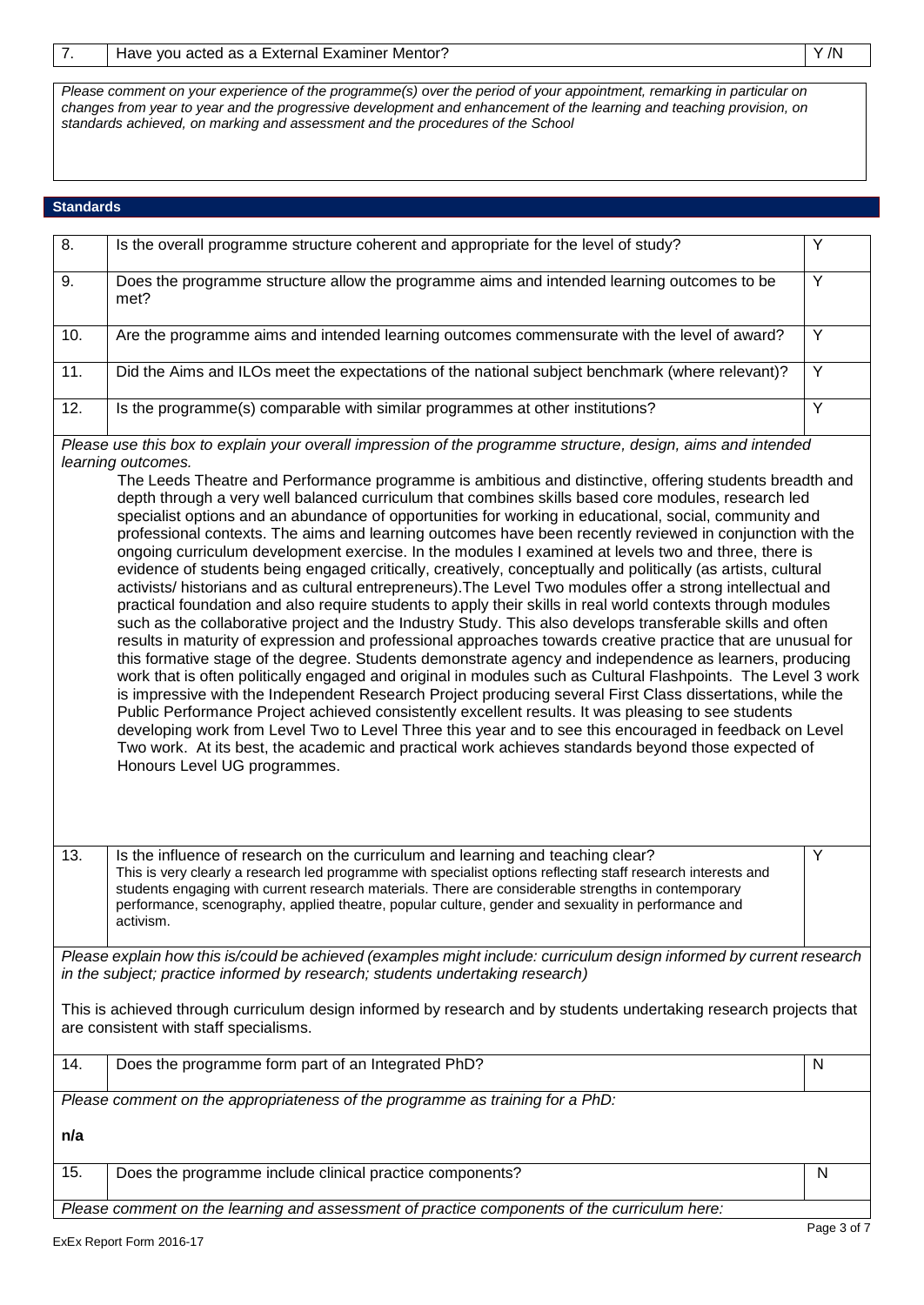*Please comment on your experience of the programme(s) over the period of your appointment, remarking in particular on changes from year to year and the progressive development and enhancement of the learning and teaching provision, on standards achieved, on marking and assessment and the procedures of the School*

# **Standards**

| $\overline{8}$ .                                                                                                                                                                                                                                                                                                                                                                                                                                                                                                                                                                                                                                                                                                                                                                                                                                                                                                                                                                                                                                                                                                                                                                                                                                                                                                                                                                                                                                                                                                                                                                                                                                                                                                                                                                                                                                                                                                                                                   | Is the overall programme structure coherent and appropriate for the level of study?                                                                                                                                                                                                                                                                                                                                         | Y              |
|--------------------------------------------------------------------------------------------------------------------------------------------------------------------------------------------------------------------------------------------------------------------------------------------------------------------------------------------------------------------------------------------------------------------------------------------------------------------------------------------------------------------------------------------------------------------------------------------------------------------------------------------------------------------------------------------------------------------------------------------------------------------------------------------------------------------------------------------------------------------------------------------------------------------------------------------------------------------------------------------------------------------------------------------------------------------------------------------------------------------------------------------------------------------------------------------------------------------------------------------------------------------------------------------------------------------------------------------------------------------------------------------------------------------------------------------------------------------------------------------------------------------------------------------------------------------------------------------------------------------------------------------------------------------------------------------------------------------------------------------------------------------------------------------------------------------------------------------------------------------------------------------------------------------------------------------------------------------|-----------------------------------------------------------------------------------------------------------------------------------------------------------------------------------------------------------------------------------------------------------------------------------------------------------------------------------------------------------------------------------------------------------------------------|----------------|
| 9.                                                                                                                                                                                                                                                                                                                                                                                                                                                                                                                                                                                                                                                                                                                                                                                                                                                                                                                                                                                                                                                                                                                                                                                                                                                                                                                                                                                                                                                                                                                                                                                                                                                                                                                                                                                                                                                                                                                                                                 | Does the programme structure allow the programme aims and intended learning outcomes to be<br>met?                                                                                                                                                                                                                                                                                                                          | Y              |
| 10.                                                                                                                                                                                                                                                                                                                                                                                                                                                                                                                                                                                                                                                                                                                                                                                                                                                                                                                                                                                                                                                                                                                                                                                                                                                                                                                                                                                                                                                                                                                                                                                                                                                                                                                                                                                                                                                                                                                                                                | Are the programme aims and intended learning outcomes commensurate with the level of award?                                                                                                                                                                                                                                                                                                                                 | Y              |
| 11.                                                                                                                                                                                                                                                                                                                                                                                                                                                                                                                                                                                                                                                                                                                                                                                                                                                                                                                                                                                                                                                                                                                                                                                                                                                                                                                                                                                                                                                                                                                                                                                                                                                                                                                                                                                                                                                                                                                                                                | Did the Aims and ILOs meet the expectations of the national subject benchmark (where relevant)?                                                                                                                                                                                                                                                                                                                             | $\overline{Y}$ |
| 12.                                                                                                                                                                                                                                                                                                                                                                                                                                                                                                                                                                                                                                                                                                                                                                                                                                                                                                                                                                                                                                                                                                                                                                                                                                                                                                                                                                                                                                                                                                                                                                                                                                                                                                                                                                                                                                                                                                                                                                | Is the programme(s) comparable with similar programmes at other institutions?                                                                                                                                                                                                                                                                                                                                               | $\overline{Y}$ |
| Please use this box to explain your overall impression of the programme structure, design, aims and intended<br>learning outcomes.<br>The Leeds Theatre and Performance programme is ambitious and distinctive, offering students breadth and<br>depth through a very well balanced curriculum that combines skills based core modules, research led<br>specialist options and an abundance of opportunities for working in educational, social, community and<br>professional contexts. The aims and learning outcomes have been recently reviewed in conjunction with the<br>ongoing curriculum development exercise. In the modules I examined at levels two and three, there is<br>evidence of students being engaged critically, creatively, conceptually and politically (as artists, cultural<br>activists/ historians and as cultural entrepreneurs). The Level Two modules offer a strong intellectual and<br>practical foundation and also require students to apply their skills in real world contexts through modules<br>such as the collaborative project and the Industry Study. This also develops transferable skills and often<br>results in maturity of expression and professional approaches towards creative practice that are unusual for<br>this formative stage of the degree. Students demonstrate agency and independence as learners, producing<br>work that is often politically engaged and original in modules such as Cultural Flashpoints. The Level 3 work<br>is impressive with the Independent Research Project producing several First Class dissertations, while the<br>Public Performance Project achieved consistently excellent results. It was pleasing to see students<br>developing work from Level Two to Level Three this year and to see this encouraged in feedback on Level<br>Two work. At its best, the academic and practical work achieves standards beyond those expected of<br>Honours Level UG programmes. |                                                                                                                                                                                                                                                                                                                                                                                                                             |                |
| 13.                                                                                                                                                                                                                                                                                                                                                                                                                                                                                                                                                                                                                                                                                                                                                                                                                                                                                                                                                                                                                                                                                                                                                                                                                                                                                                                                                                                                                                                                                                                                                                                                                                                                                                                                                                                                                                                                                                                                                                | Is the influence of research on the curriculum and learning and teaching clear?<br>This is very clearly a research led programme with specialist options reflecting staff research interests and<br>students engaging with current research materials. There are considerable strengths in contemporary<br>performance, scenography, applied theatre, popular culture, gender and sexuality in performance and<br>activism. | Υ              |
|                                                                                                                                                                                                                                                                                                                                                                                                                                                                                                                                                                                                                                                                                                                                                                                                                                                                                                                                                                                                                                                                                                                                                                                                                                                                                                                                                                                                                                                                                                                                                                                                                                                                                                                                                                                                                                                                                                                                                                    | Please explain how this is/could be achieved (examples might include: curriculum design informed by current research<br>in the subject; practice informed by research; students undertaking research)                                                                                                                                                                                                                       |                |
| This is achieved through curriculum design informed by research and by students undertaking research projects that<br>are consistent with staff specialisms.                                                                                                                                                                                                                                                                                                                                                                                                                                                                                                                                                                                                                                                                                                                                                                                                                                                                                                                                                                                                                                                                                                                                                                                                                                                                                                                                                                                                                                                                                                                                                                                                                                                                                                                                                                                                       |                                                                                                                                                                                                                                                                                                                                                                                                                             |                |
| 14.                                                                                                                                                                                                                                                                                                                                                                                                                                                                                                                                                                                                                                                                                                                                                                                                                                                                                                                                                                                                                                                                                                                                                                                                                                                                                                                                                                                                                                                                                                                                                                                                                                                                                                                                                                                                                                                                                                                                                                | Does the programme form part of an Integrated PhD?                                                                                                                                                                                                                                                                                                                                                                          | N              |
| Please comment on the appropriateness of the programme as training for a PhD:<br>n/a                                                                                                                                                                                                                                                                                                                                                                                                                                                                                                                                                                                                                                                                                                                                                                                                                                                                                                                                                                                                                                                                                                                                                                                                                                                                                                                                                                                                                                                                                                                                                                                                                                                                                                                                                                                                                                                                               |                                                                                                                                                                                                                                                                                                                                                                                                                             |                |
| 15.                                                                                                                                                                                                                                                                                                                                                                                                                                                                                                                                                                                                                                                                                                                                                                                                                                                                                                                                                                                                                                                                                                                                                                                                                                                                                                                                                                                                                                                                                                                                                                                                                                                                                                                                                                                                                                                                                                                                                                | Does the programme include clinical practice components?                                                                                                                                                                                                                                                                                                                                                                    | N              |
|                                                                                                                                                                                                                                                                                                                                                                                                                                                                                                                                                                                                                                                                                                                                                                                                                                                                                                                                                                                                                                                                                                                                                                                                                                                                                                                                                                                                                                                                                                                                                                                                                                                                                                                                                                                                                                                                                                                                                                    | Please comment on the learning and assessment of practice components of the curriculum here:                                                                                                                                                                                                                                                                                                                                |                |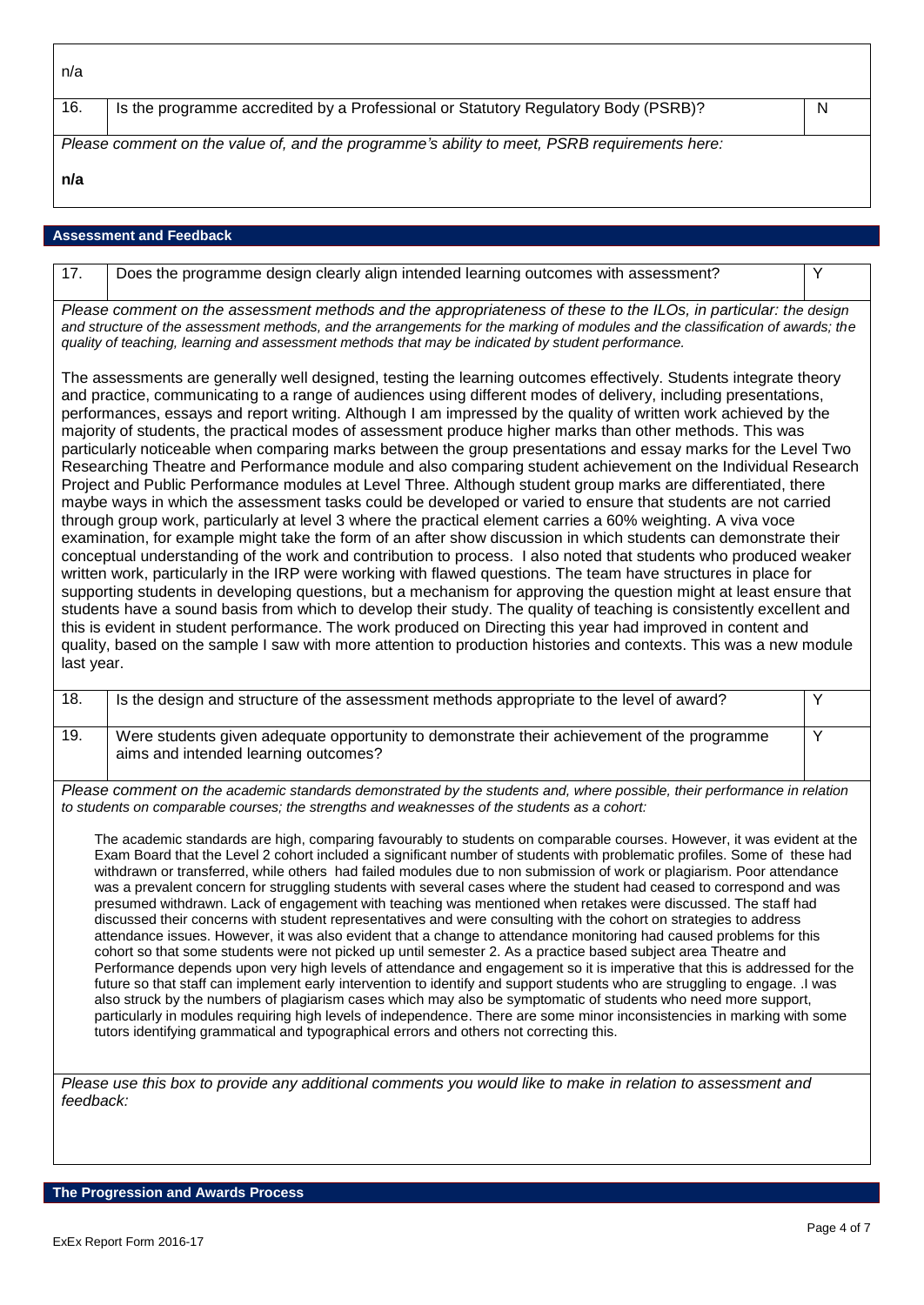16. Is the programme accredited by a Professional or Statutory Regulatory Body (PSRB)?

*Please comment on the value of, and the programme's ability to meet, PSRB requirements here:*

17. Does the programme design clearly align intended learning outcomes with assessment? Y

**n/a**

## **Assessment and Feedback**

*Please comment on the assessment methods and the appropriateness of these to the ILOs, in particular: the design and structure of the assessment methods, and the arrangements for the marking of modules and the classification of awards; the quality of teaching, learning and assessment methods that may be indicated by student performance.*

The assessments are generally well designed, testing the learning outcomes effectively. Students integrate theory and practice, communicating to a range of audiences using different modes of delivery, including presentations, performances, essays and report writing. Although I am impressed by the quality of written work achieved by the majority of students, the practical modes of assessment produce higher marks than other methods. This was particularly noticeable when comparing marks between the group presentations and essay marks for the Level Two Researching Theatre and Performance module and also comparing student achievement on the Individual Research Project and Public Performance modules at Level Three. Although student group marks are differentiated, there maybe ways in which the assessment tasks could be developed or varied to ensure that students are not carried through group work, particularly at level 3 where the practical element carries a 60% weighting. A viva voce examination, for example might take the form of an after show discussion in which students can demonstrate their conceptual understanding of the work and contribution to process. I also noted that students who produced weaker written work, particularly in the IRP were working with flawed questions. The team have structures in place for supporting students in developing questions, but a mechanism for approving the question might at least ensure that students have a sound basis from which to develop their study. The quality of teaching is consistently excellent and this is evident in student performance. The work produced on Directing this year had improved in content and quality, based on the sample I saw with more attention to production histories and contexts. This was a new module last year.

| 18. | Is the design and structure of the assessment methods appropriate to the level of award?                                           |  |
|-----|------------------------------------------------------------------------------------------------------------------------------------|--|
| 19. | Were students given adequate opportunity to demonstrate their achievement of the programme<br>aims and intended learning outcomes? |  |
|     | $\mathbf{B}$ and $\mathbf{B}$ and $\mathbf{B}$ are the set of $\mathbf{B}$<br>.                                                    |  |

*Please comment on the academic standards demonstrated by the students and, where possible, their performance in relation to students on comparable courses; the strengths and weaknesses of the students as a cohort:*

The academic standards are high, comparing favourably to students on comparable courses. However, it was evident at the Exam Board that the Level 2 cohort included a significant number of students with problematic profiles. Some of these had withdrawn or transferred, while others had failed modules due to non submission of work or plagiarism. Poor attendance was a prevalent concern for struggling students with several cases where the student had ceased to correspond and was presumed withdrawn. Lack of engagement with teaching was mentioned when retakes were discussed. The staff had discussed their concerns with student representatives and were consulting with the cohort on strategies to address attendance issues. However, it was also evident that a change to attendance monitoring had caused problems for this cohort so that some students were not picked up until semester 2. As a practice based subject area Theatre and Performance depends upon very high levels of attendance and engagement so it is imperative that this is addressed for the future so that staff can implement early intervention to identify and support students who are struggling to engage. .I was also struck by the numbers of plagiarism cases which may also be symptomatic of students who need more support, particularly in modules requiring high levels of independence. There are some minor inconsistencies in marking with some tutors identifying grammatical and typographical errors and others not correcting this.

*Please use this box to provide any additional comments you would like to make in relation to assessment and feedback:*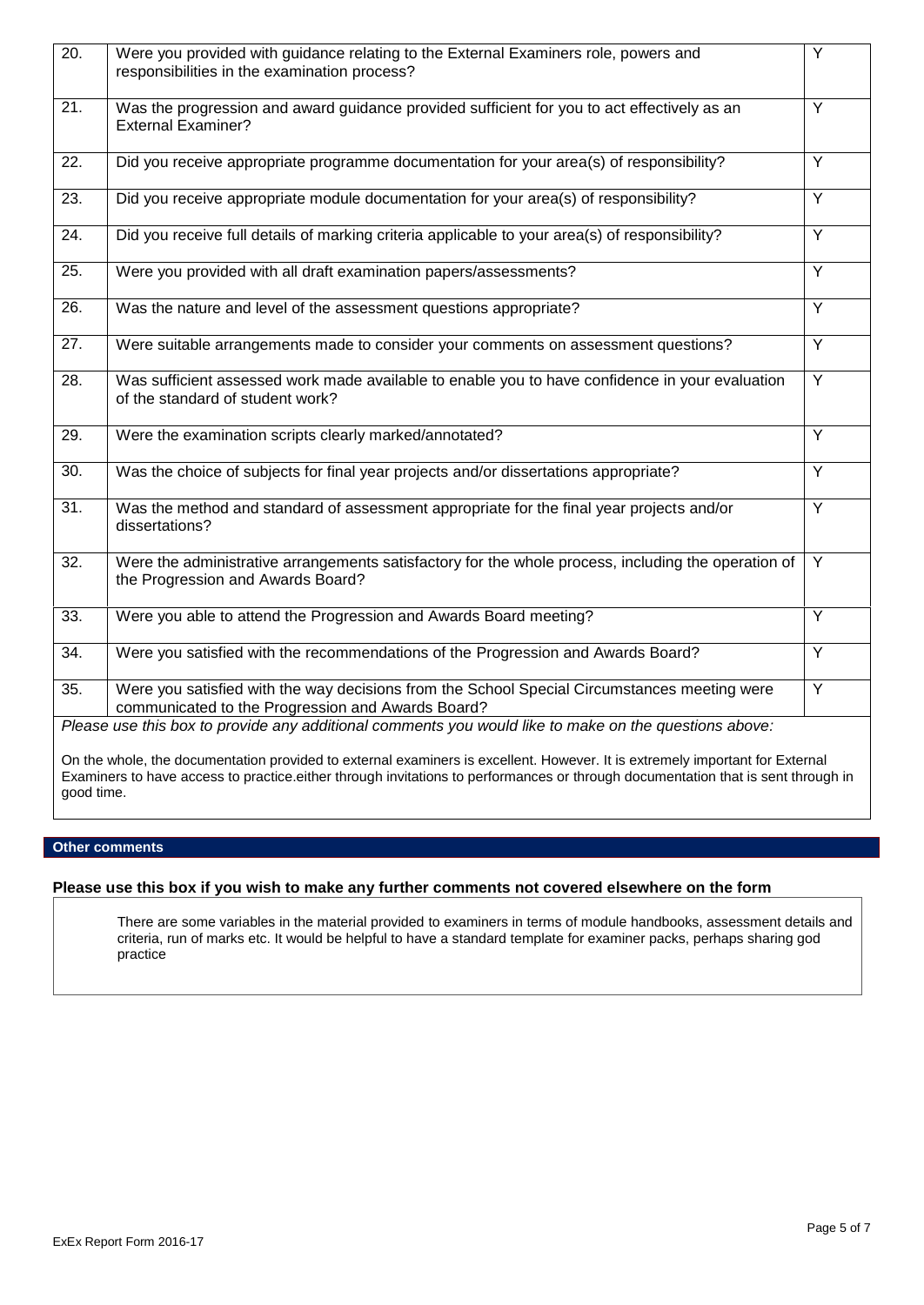| 20.               | Were you provided with guidance relating to the External Examiners role, powers and<br>responsibilities in the examination process?                                                                                                                              | Ÿ              |
|-------------------|------------------------------------------------------------------------------------------------------------------------------------------------------------------------------------------------------------------------------------------------------------------|----------------|
| $\overline{21}$ . | Was the progression and award guidance provided sufficient for you to act effectively as an<br><b>External Examiner?</b>                                                                                                                                         | $\overline{Y}$ |
| 22.               | Did you receive appropriate programme documentation for your area(s) of responsibility?                                                                                                                                                                          | Y              |
| 23.               | Did you receive appropriate module documentation for your area(s) of responsibility?                                                                                                                                                                             | Y              |
| 24.               | Did you receive full details of marking criteria applicable to your area(s) of responsibility?                                                                                                                                                                   | Y              |
| $\overline{25}$ . | Were you provided with all draft examination papers/assessments?                                                                                                                                                                                                 | $\overline{Y}$ |
| 26.               | Was the nature and level of the assessment questions appropriate?                                                                                                                                                                                                | Y              |
| 27.               | Were suitable arrangements made to consider your comments on assessment questions?                                                                                                                                                                               | Y              |
| $\overline{28}$ . | Was sufficient assessed work made available to enable you to have confidence in your evaluation<br>of the standard of student work?                                                                                                                              | Y              |
| $\overline{29}$ . | Were the examination scripts clearly marked/annotated?                                                                                                                                                                                                           | $\overline{Y}$ |
| 30.               | Was the choice of subjects for final year projects and/or dissertations appropriate?                                                                                                                                                                             | Y              |
| 31.               | Was the method and standard of assessment appropriate for the final year projects and/or<br>dissertations?                                                                                                                                                       | Y              |
| 32.               | Were the administrative arrangements satisfactory for the whole process, including the operation of<br>the Progression and Awards Board?                                                                                                                         | Y              |
| 33.               | Were you able to attend the Progression and Awards Board meeting?                                                                                                                                                                                                | $\overline{Y}$ |
| 34.               | Were you satisfied with the recommendations of the Progression and Awards Board?                                                                                                                                                                                 | Y              |
| $\overline{35}$ . | Were you satisfied with the way decisions from the School Special Circumstances meeting were<br>communicated to the Progression and Awards Board?                                                                                                                | Y              |
|                   | Please use this box to provide any additional comments you would like to make on the questions above:                                                                                                                                                            |                |
| good time.        | On the whole, the documentation provided to external examiners is excellent. However. It is extremely important for External<br>Examiners to have access to practice either through invitations to performances or through documentation that is sent through in |                |

# **Other comments**

# **Please use this box if you wish to make any further comments not covered elsewhere on the form**

There are some variables in the material provided to examiners in terms of module handbooks, assessment details and criteria, run of marks etc. It would be helpful to have a standard template for examiner packs, perhaps sharing god practice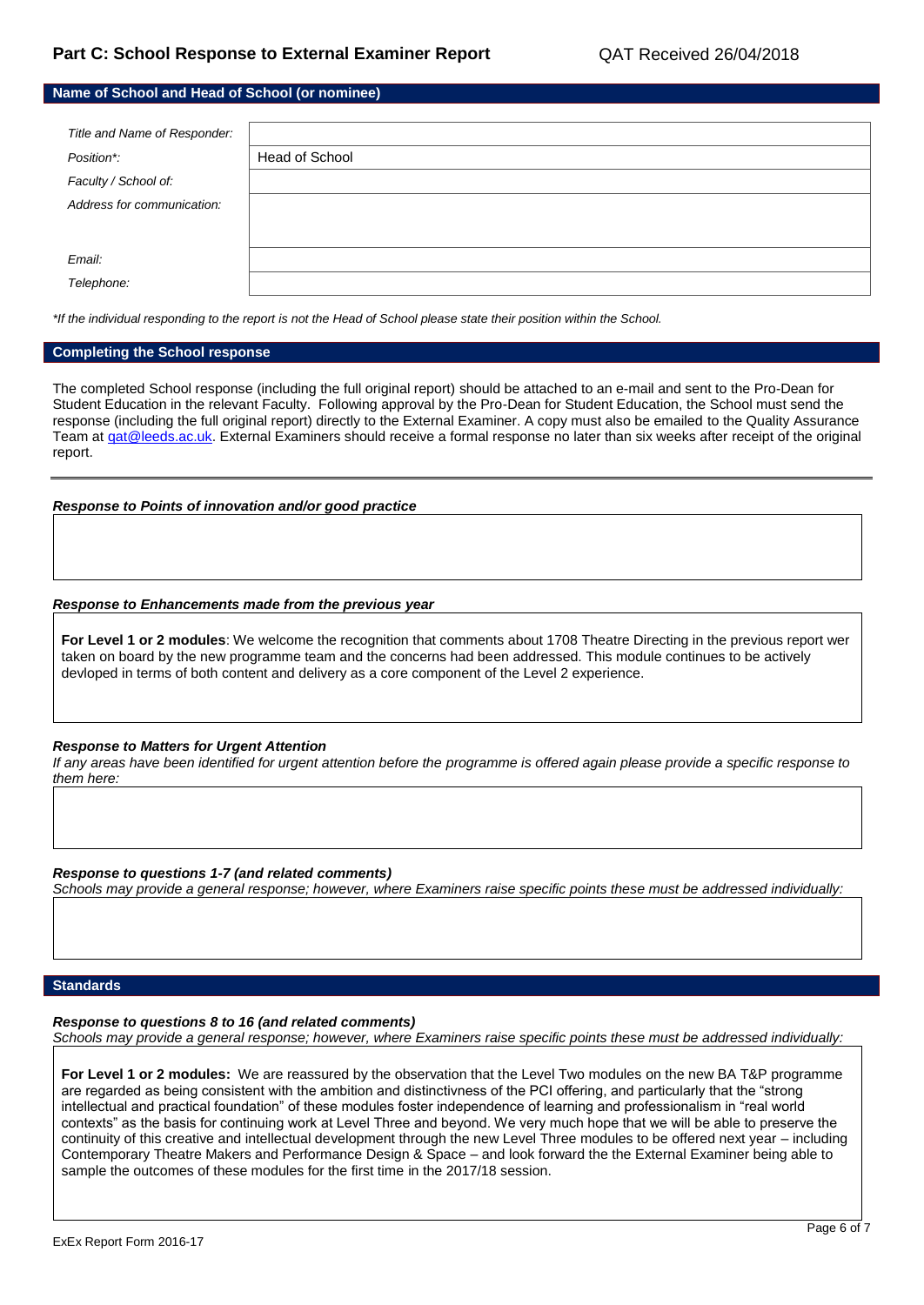| Name of School and Head of School (or nominee) |                |  |
|------------------------------------------------|----------------|--|
|                                                |                |  |
| Title and Name of Responder:                   |                |  |
| Position*:                                     | Head of School |  |
| Faculty / School of:                           |                |  |
| Address for communication:                     |                |  |
|                                                |                |  |
| Email:                                         |                |  |
| Telephone:                                     |                |  |

*\*If the individual responding to the report is not the Head of School please state their position within the School.*

### **Completing the School response**

The completed School response (including the full original report) should be attached to an e-mail and sent to the Pro-Dean for Student Education in the relevant Faculty. Following approval by the Pro-Dean for Student Education, the School must send the response (including the full original report) directly to the External Examiner. A copy must also be emailed to the Quality Assurance Team at gat@leeds.ac.uk. External Examiners should receive a formal response no later than six weeks after receipt of the original report.

### *Response to Points of innovation and/or good practice*

#### *Response to Enhancements made from the previous year*

**For Level 1 or 2 modules**: We welcome the recognition that comments about 1708 Theatre Directing in the previous report wer taken on board by the new programme team and the concerns had been addressed. This module continues to be actively devloped in terms of both content and delivery as a core component of the Level 2 experience.

#### *Response to Matters for Urgent Attention*

*If any areas have been identified for urgent attention before the programme is offered again please provide a specific response to them here:*

*Response to questions 1-7 (and related comments) Schools may provide a general response; however, where Examiners raise specific points these must be addressed individually:*

### **Standards**

*Response to questions 8 to 16 (and related comments)*

*Schools may provide a general response; however, where Examiners raise specific points these must be addressed individually:*

**For Level 1 or 2 modules:** We are reassured by the observation that the Level Two modules on the new BA T&P programme are regarded as being consistent with the ambition and distinctivness of the PCI offering, and particularly that the "strong intellectual and practical foundation" of these modules foster independence of learning and professionalism in "real world contexts" as the basis for continuing work at Level Three and beyond. We very much hope that we will be able to preserve the continuity of this creative and intellectual development through the new Level Three modules to be offered next year – including Contemporary Theatre Makers and Performance Design & Space – and look forward the the External Examiner being able to sample the outcomes of these modules for the first time in the 2017/18 session.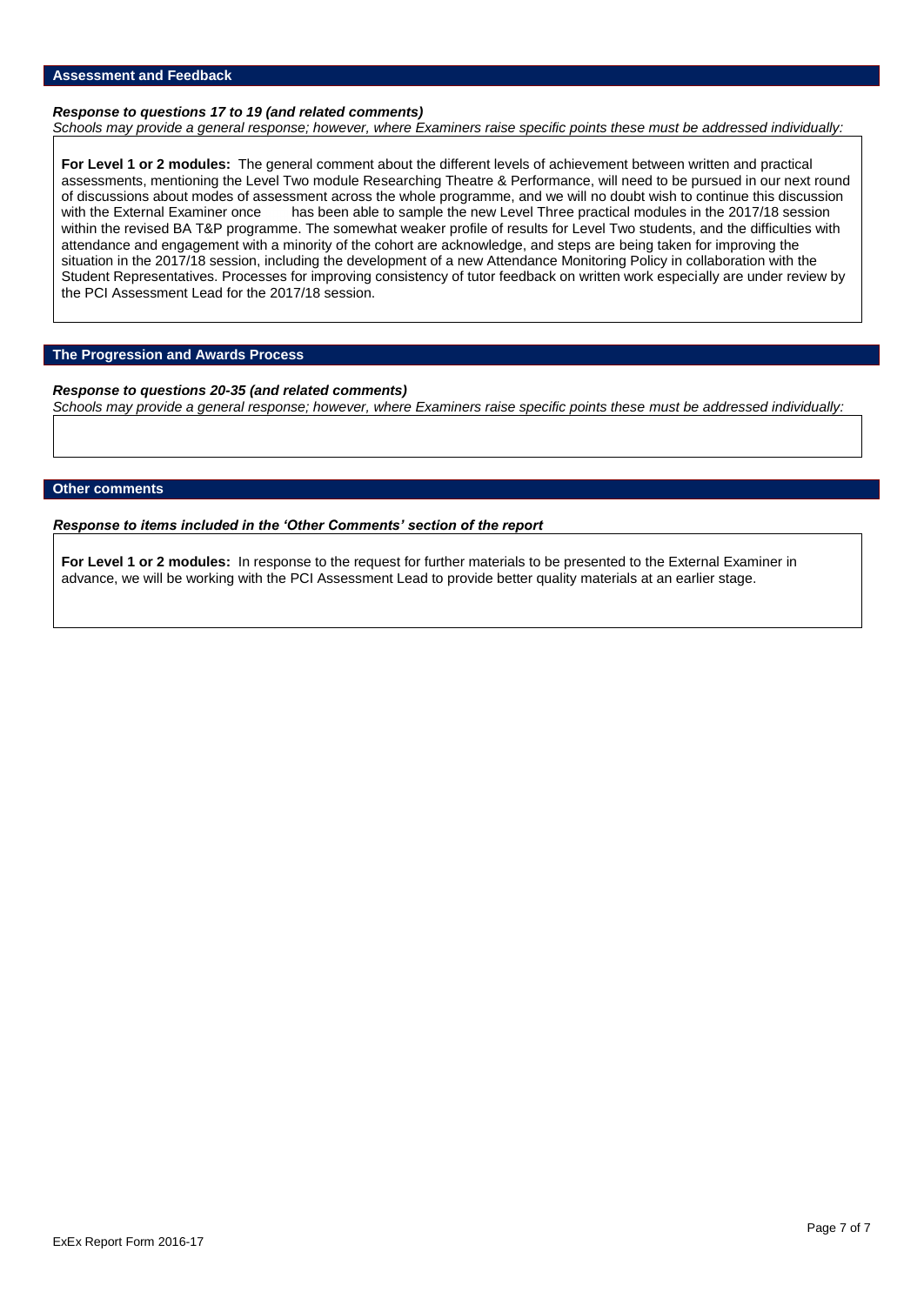### **Assessment and Feedback**

### *Response to questions 17 to 19 (and related comments)*

*Schools may provide a general response; however, where Examiners raise specific points these must be addressed individually:*

**For Level 1 or 2 modules:** The general comment about the different levels of achievement between written and practical assessments, mentioning the Level Two module Researching Theatre & Performance, will need to be pursued in our next round of discussions about modes of assessment across the whole programme, and we will no doubt wish to continue this discussion with the External Examiner once has been able to sample the new Level Three practical modules in th has been able to sample the new Level Three practical modules in the 2017/18 session within the revised BA T&P programme. The somewhat weaker profile of results for Level Two students, and the difficulties with attendance and engagement with a minority of the cohort are acknowledge, and steps are being taken for improving the situation in the 2017/18 session, including the development of a new Attendance Monitoring Policy in collaboration with the Student Representatives. Processes for improving consistency of tutor feedback on written work especially are under review by the PCI Assessment Lead for the 2017/18 session.

### **The Progression and Awards Process**

*Response to questions 20-35 (and related comments) Schools may provide a general response; however, where Examiners raise specific points these must be addressed individually:*

### **Other comments**

*Response to items included in the 'Other Comments' section of the report*

**For Level 1 or 2 modules:** In response to the request for further materials to be presented to the External Examiner in advance, we will be working with the PCI Assessment Lead to provide better quality materials at an earlier stage.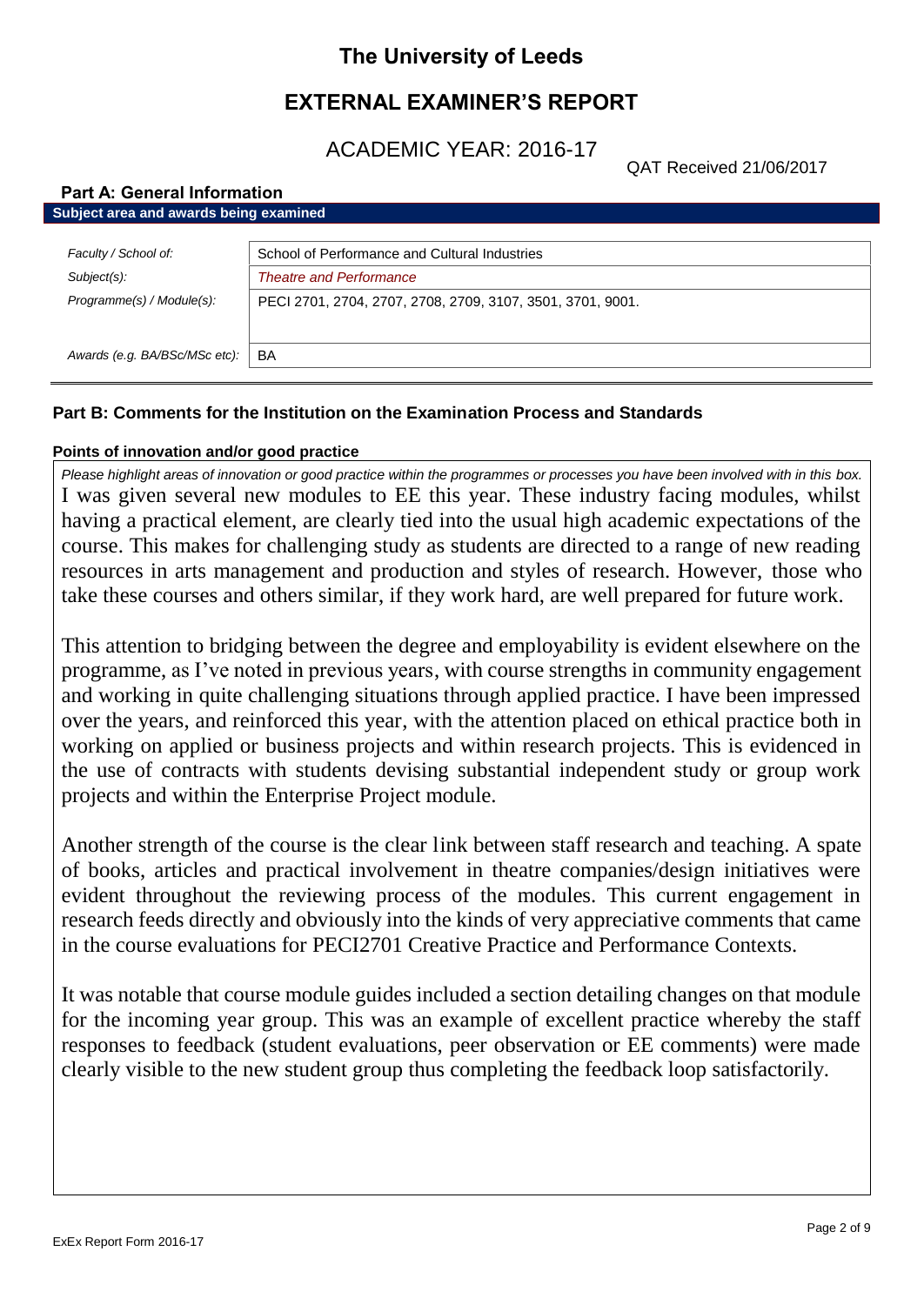# **The University of Leeds**

# **EXTERNAL EXAMINER'S REPORT**

ACADEMIC YEAR: 2016-17

QAT Received 21/06/2017

# **Part A: General Information Subject area and awards being examined** *Faculty / School of:* School of Performance and Cultural Industries *Subject(s): Theatre and Performance Programme(s) / Module(s):* PECI 2701, 2704, 2707, 2708, 2709, 3107, 3501, 3701, 9001. Awards (e.g. BA/BSc/MSc etc): | BA

# **Part B: Comments for the Institution on the Examination Process and Standards**

# **Points of innovation and/or good practice**

*Please highlight areas of innovation or good practice within the programmes or processes you have been involved with in this box.* I was given several new modules to EE this year. These industry facing modules, whilst having a practical element, are clearly tied into the usual high academic expectations of the course. This makes for challenging study as students are directed to a range of new reading resources in arts management and production and styles of research. However, those who take these courses and others similar, if they work hard, are well prepared for future work.

This attention to bridging between the degree and employability is evident elsewhere on the programme, as I've noted in previous years, with course strengths in community engagement and working in quite challenging situations through applied practice. I have been impressed over the years, and reinforced this year, with the attention placed on ethical practice both in working on applied or business projects and within research projects. This is evidenced in the use of contracts with students devising substantial independent study or group work projects and within the Enterprise Project module.

Another strength of the course is the clear link between staff research and teaching. A spate of books, articles and practical involvement in theatre companies/design initiatives were evident throughout the reviewing process of the modules. This current engagement in research feeds directly and obviously into the kinds of very appreciative comments that came in the course evaluations for PECI2701 Creative Practice and Performance Contexts.

It was notable that course module guides included a section detailing changes on that module for the incoming year group. This was an example of excellent practice whereby the staff responses to feedback (student evaluations, peer observation or EE comments) were made clearly visible to the new student group thus completing the feedback loop satisfactorily.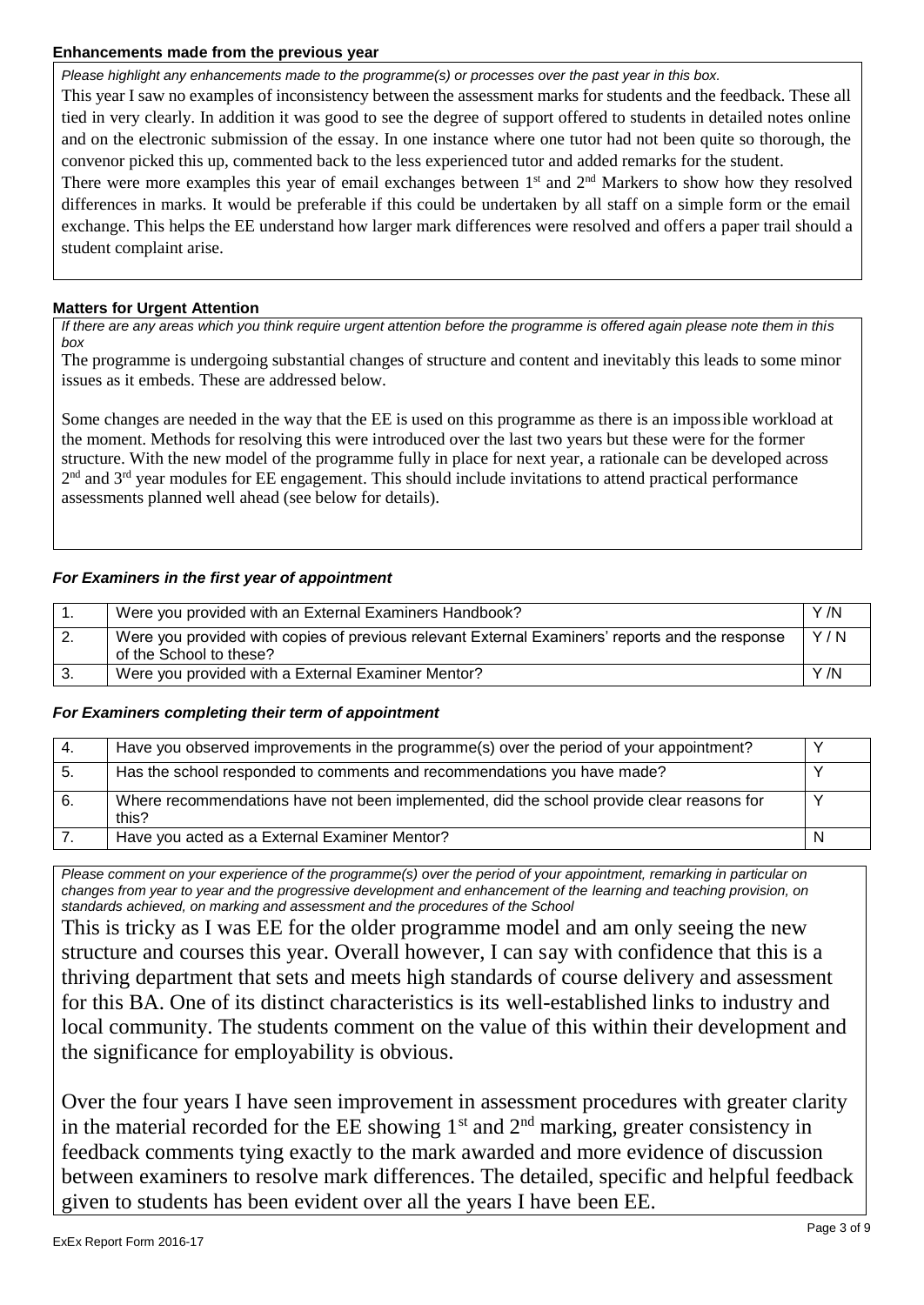# **Enhancements made from the previous year**

*Please highlight any enhancements made to the programme(s) or processes over the past year in this box.* This year I saw no examples of inconsistency between the assessment marks for students and the feedback. These all tied in very clearly. In addition it was good to see the degree of support offered to students in detailed notes online and on the electronic submission of the essay. In one instance where one tutor had not been quite so thorough, the convenor picked this up, commented back to the less experienced tutor and added remarks for the student.

There were more examples this year of email exchanges between 1<sup>st</sup> and 2<sup>nd</sup> Markers to show how they resolved differences in marks. It would be preferable if this could be undertaken by all staff on a simple form or the email exchange. This helps the EE understand how larger mark differences were resolved and offers a paper trail should a student complaint arise.

# **Matters for Urgent Attention**

*If there are any areas which you think require urgent attention before the programme is offered again please note them in this box*

The programme is undergoing substantial changes of structure and content and inevitably this leads to some minor issues as it embeds. These are addressed below.

Some changes are needed in the way that the EE is used on this programme as there is an impossible workload at the moment. Methods for resolving this were introduced over the last two years but these were for the former structure. With the new model of the programme fully in place for next year, a rationale can be developed across 2<sup>nd</sup> and 3<sup>rd</sup> year modules for EE engagement. This should include invitations to attend practical performance assessments planned well ahead (see below for details).

# *For Examiners in the first year of appointment*

|          | Were you provided with an External Examiners Handbook?                                                                     | Y /N |
|----------|----------------------------------------------------------------------------------------------------------------------------|------|
| <u>.</u> | Were you provided with copies of previous relevant External Examiners' reports and the response<br>of the School to these? | Y/N  |
|          | Were you provided with a External Examiner Mentor?                                                                         | Y/N  |

# *For Examiners completing their term of appointment*

| -4. | Have you observed improvements in the programme(s) over the period of your appointment?            |  |
|-----|----------------------------------------------------------------------------------------------------|--|
| -5. | Has the school responded to comments and recommendations you have made?                            |  |
| 6.  | Where recommendations have not been implemented, did the school provide clear reasons for<br>this? |  |
|     | Have you acted as a External Examiner Mentor?                                                      |  |

*Please comment on your experience of the programme(s) over the period of your appointment, remarking in particular on changes from year to year and the progressive development and enhancement of the learning and teaching provision, on standards achieved, on marking and assessment and the procedures of the School*

This is tricky as I was EE for the older programme model and am only seeing the new structure and courses this year. Overall however, I can say with confidence that this is a thriving department that sets and meets high standards of course delivery and assessment for this BA. One of its distinct characteristics is its well-established links to industry and local community. The students comment on the value of this within their development and the significance for employability is obvious.

Over the four years I have seen improvement in assessment procedures with greater clarity in the material recorded for the  $EE$  showing  $1<sup>st</sup>$  and  $2<sup>nd</sup>$  marking, greater consistency in feedback comments tying exactly to the mark awarded and more evidence of discussion between examiners to resolve mark differences. The detailed, specific and helpful feedback given to students has been evident over all the years I have been EE.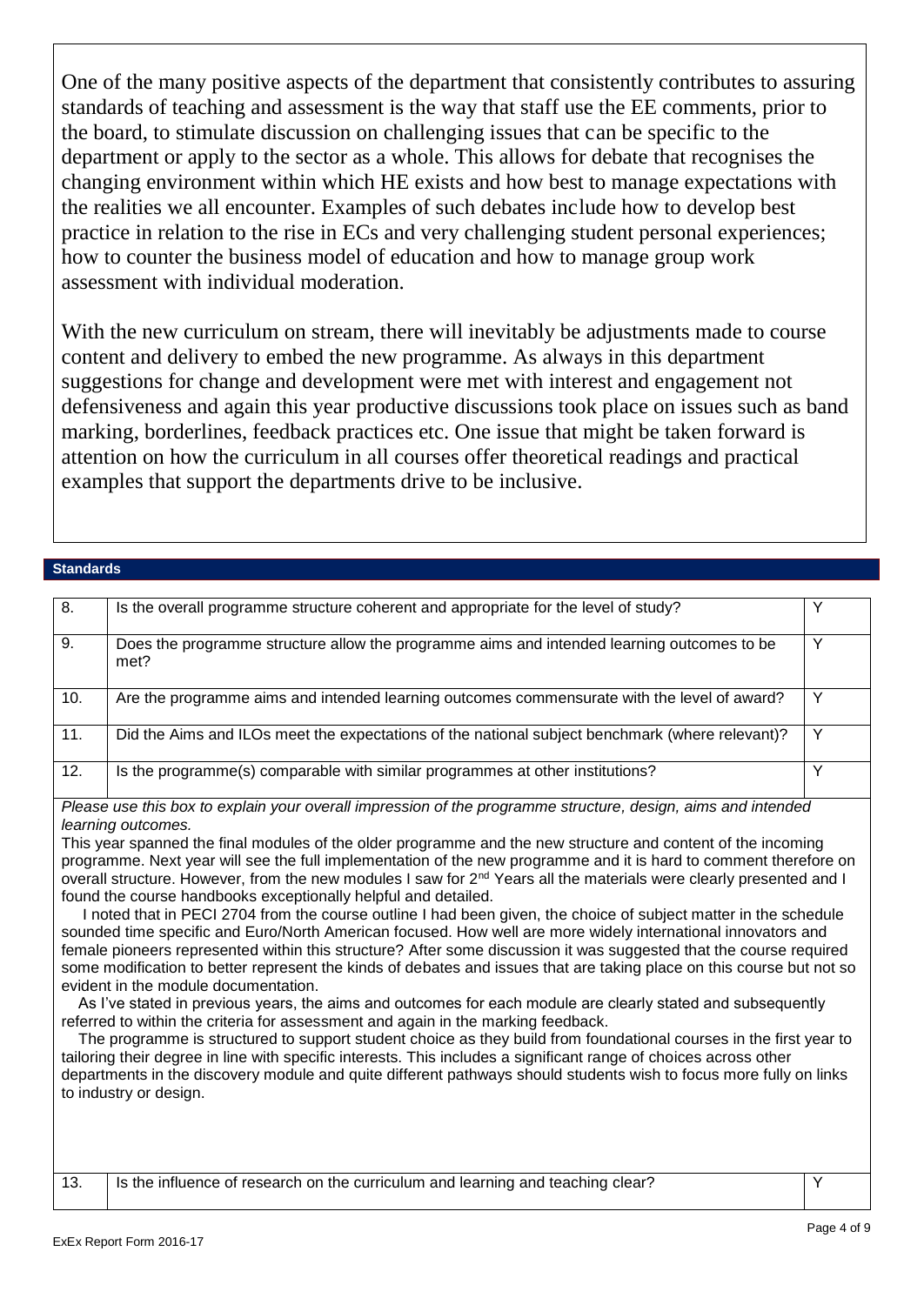One of the many positive aspects of the department that consistently contributes to assuring standards of teaching and assessment is the way that staff use the EE comments, prior to the board, to stimulate discussion on challenging issues that can be specific to the department or apply to the sector as a whole. This allows for debate that recognises the changing environment within which HE exists and how best to manage expectations with the realities we all encounter. Examples of such debates include how to develop best practice in relation to the rise in ECs and very challenging student personal experiences; how to counter the business model of education and how to manage group work assessment with individual moderation.

With the new curriculum on stream, there will inevitably be adjustments made to course content and delivery to embed the new programme. As always in this department suggestions for change and development were met with interest and engagement not defensiveness and again this year productive discussions took place on issues such as band marking, borderlines, feedback practices etc. One issue that might be taken forward is attention on how the curriculum in all courses offer theoretical readings and practical examples that support the departments drive to be inclusive.

## **Standards**

| 8.  | Is the overall programme structure coherent and appropriate for the level of study?                |   |
|-----|----------------------------------------------------------------------------------------------------|---|
| 9.  | Does the programme structure allow the programme aims and intended learning outcomes to be<br>met? |   |
| 10. | Are the programme aims and intended learning outcomes commensurate with the level of award?        |   |
| 11. | Did the Aims and ILOs meet the expectations of the national subject benchmark (where relevant)?    | ν |
| 12. | Is the programme(s) comparable with similar programmes at other institutions?                      |   |

*Please use this box to explain your overall impression of the programme structure, design, aims and intended learning outcomes.*

This year spanned the final modules of the older programme and the new structure and content of the incoming programme. Next year will see the full implementation of the new programme and it is hard to comment therefore on overall structure. However, from the new modules I saw for 2<sup>nd</sup> Years all the materials were clearly presented and I found the course handbooks exceptionally helpful and detailed.

 I noted that in PECI 2704 from the course outline I had been given, the choice of subject matter in the schedule sounded time specific and Euro/North American focused. How well are more widely international innovators and female pioneers represented within this structure? After some discussion it was suggested that the course required some modification to better represent the kinds of debates and issues that are taking place on this course but not so evident in the module documentation.

 As I've stated in previous years, the aims and outcomes for each module are clearly stated and subsequently referred to within the criteria for assessment and again in the marking feedback.

 The programme is structured to support student choice as they build from foundational courses in the first year to tailoring their degree in line with specific interests. This includes a significant range of choices across other departments in the discovery module and quite different pathways should students wish to focus more fully on links to industry or design.

13. Is the influence of research on the curriculum and learning and teaching clear?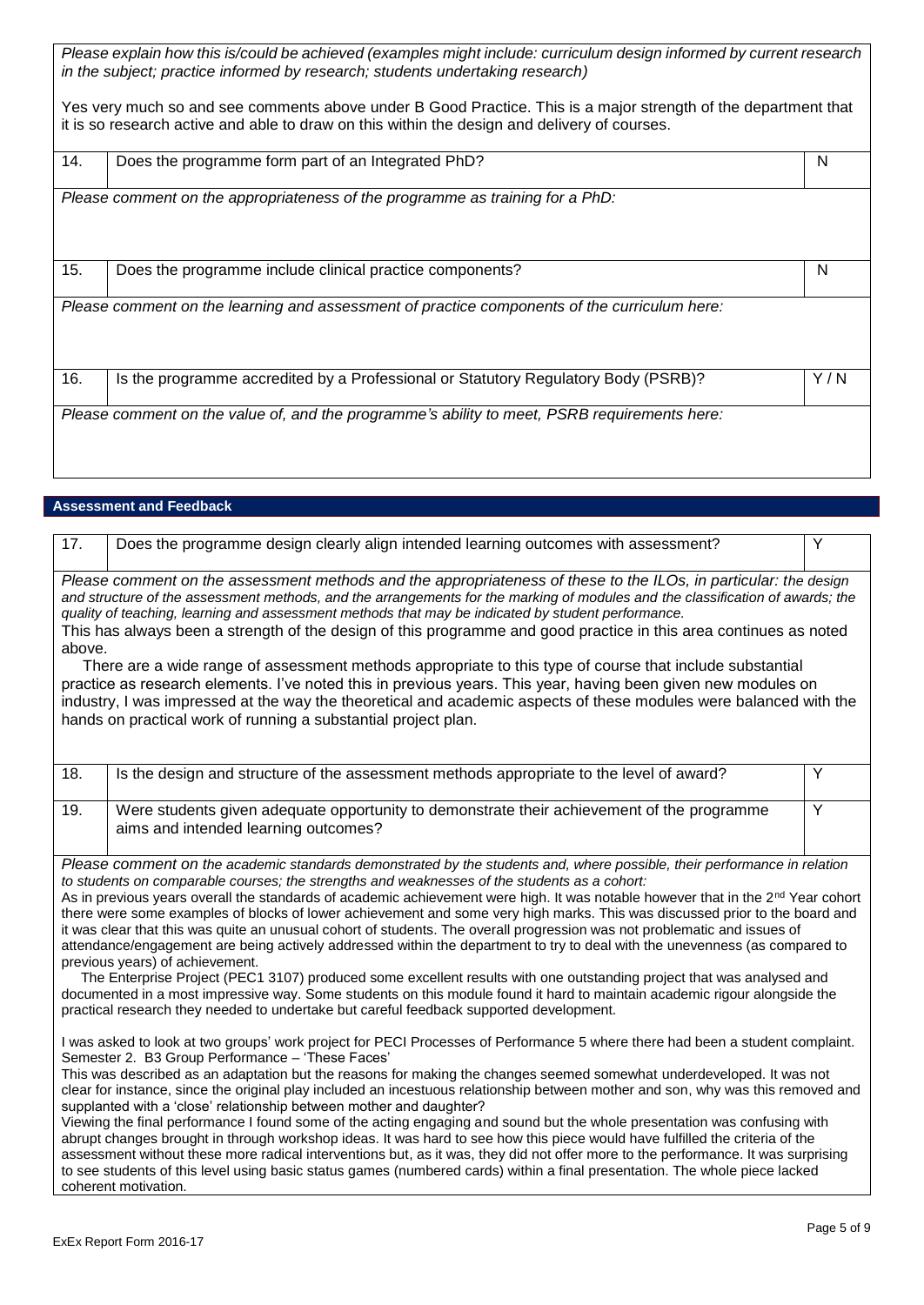| Please explain how this is/could be achieved (examples might include: curriculum design informed by current research<br>in the subject; practice informed by research; students undertaking research)          |                                                                                              |     |
|----------------------------------------------------------------------------------------------------------------------------------------------------------------------------------------------------------------|----------------------------------------------------------------------------------------------|-----|
| Yes very much so and see comments above under B Good Practice. This is a major strength of the department that<br>it is so research active and able to draw on this within the design and delivery of courses. |                                                                                              |     |
| 14.                                                                                                                                                                                                            | Does the programme form part of an Integrated PhD?                                           | N   |
|                                                                                                                                                                                                                | Please comment on the appropriateness of the programme as training for a PhD:                |     |
| 15.                                                                                                                                                                                                            | Does the programme include clinical practice components?                                     | N   |
| Please comment on the learning and assessment of practice components of the curriculum here:                                                                                                                   |                                                                                              |     |
| 16.                                                                                                                                                                                                            | Is the programme accredited by a Professional or Statutory Regulatory Body (PSRB)?           | Y/N |
|                                                                                                                                                                                                                | Please comment on the value of, and the programme's ability to meet, PSRB requirements here: |     |

# **Assessment and Feedback**

| 17.                                                                                                                                                                                                                                                                                                                                                                                                                                                                                                                                                                                                                                                                                                                                                                                                                                                                                                                                                                                                                                                                                                                                                     | Does the programme design clearly align intended learning outcomes with assessment?                                                | Y              |  |  |
|---------------------------------------------------------------------------------------------------------------------------------------------------------------------------------------------------------------------------------------------------------------------------------------------------------------------------------------------------------------------------------------------------------------------------------------------------------------------------------------------------------------------------------------------------------------------------------------------------------------------------------------------------------------------------------------------------------------------------------------------------------------------------------------------------------------------------------------------------------------------------------------------------------------------------------------------------------------------------------------------------------------------------------------------------------------------------------------------------------------------------------------------------------|------------------------------------------------------------------------------------------------------------------------------------|----------------|--|--|
| Please comment on the assessment methods and the appropriateness of these to the ILOs, in particular: the design<br>and structure of the assessment methods, and the arrangements for the marking of modules and the classification of awards; the<br>quality of teaching, learning and assessment methods that may be indicated by student performance.<br>This has always been a strength of the design of this programme and good practice in this area continues as noted<br>above.<br>There are a wide range of assessment methods appropriate to this type of course that include substantial<br>practice as research elements. I've noted this in previous years. This year, having been given new modules on<br>industry, I was impressed at the way the theoretical and academic aspects of these modules were balanced with the                                                                                                                                                                                                                                                                                                               |                                                                                                                                    |                |  |  |
| hands on practical work of running a substantial project plan.                                                                                                                                                                                                                                                                                                                                                                                                                                                                                                                                                                                                                                                                                                                                                                                                                                                                                                                                                                                                                                                                                          |                                                                                                                                    |                |  |  |
|                                                                                                                                                                                                                                                                                                                                                                                                                                                                                                                                                                                                                                                                                                                                                                                                                                                                                                                                                                                                                                                                                                                                                         |                                                                                                                                    |                |  |  |
| 18.                                                                                                                                                                                                                                                                                                                                                                                                                                                                                                                                                                                                                                                                                                                                                                                                                                                                                                                                                                                                                                                                                                                                                     | Is the design and structure of the assessment methods appropriate to the level of award?                                           | Y              |  |  |
| 19.                                                                                                                                                                                                                                                                                                                                                                                                                                                                                                                                                                                                                                                                                                                                                                                                                                                                                                                                                                                                                                                                                                                                                     | Were students given adequate opportunity to demonstrate their achievement of the programme<br>aims and intended learning outcomes? | $\overline{Y}$ |  |  |
| Please comment on the academic standards demonstrated by the students and, where possible, their performance in relation<br>to students on comparable courses; the strengths and weaknesses of the students as a cohort:<br>As in previous years overall the standards of academic achievement were high. It was notable however that in the 2 <sup>nd</sup> Year cohort<br>there were some examples of blocks of lower achievement and some very high marks. This was discussed prior to the board and<br>it was clear that this was quite an unusual cohort of students. The overall progression was not problematic and issues of<br>attendance/engagement are being actively addressed within the department to try to deal with the unevenness (as compared to<br>previous years) of achievement.<br>The Enterprise Project (PEC1 3107) produced some excellent results with one outstanding project that was analysed and<br>documented in a most impressive way. Some students on this module found it hard to maintain academic rigour alongside the<br>practical research they needed to undertake but careful feedback supported development. |                                                                                                                                    |                |  |  |
| I was asked to look at two groups' work project for PECI Processes of Performance 5 where there had been a student complaint.<br>Semester 2. B3 Group Performance - 'These Faces'<br>This was described as an adaptation but the reasons for making the changes seemed somewhat underdeveloped. It was not<br>clear for instance, since the original play included an incestuous relationship between mother and son, why was this removed and<br>supplanted with a 'close' relationship between mother and daughter?<br>Viewing the final performance I found some of the acting engaging and sound but the whole presentation was confusing with<br>abrupt changes brought in through workshop ideas. It was hard to see how this piece would have fulfilled the criteria of the<br>assessment without these more radical interventions but, as it was, they did not offer more to the performance. It was surprising<br>to see students of this level using basic status games (numbered cards) within a final presentation. The whole piece lacked<br>coherent motivation.                                                                          |                                                                                                                                    |                |  |  |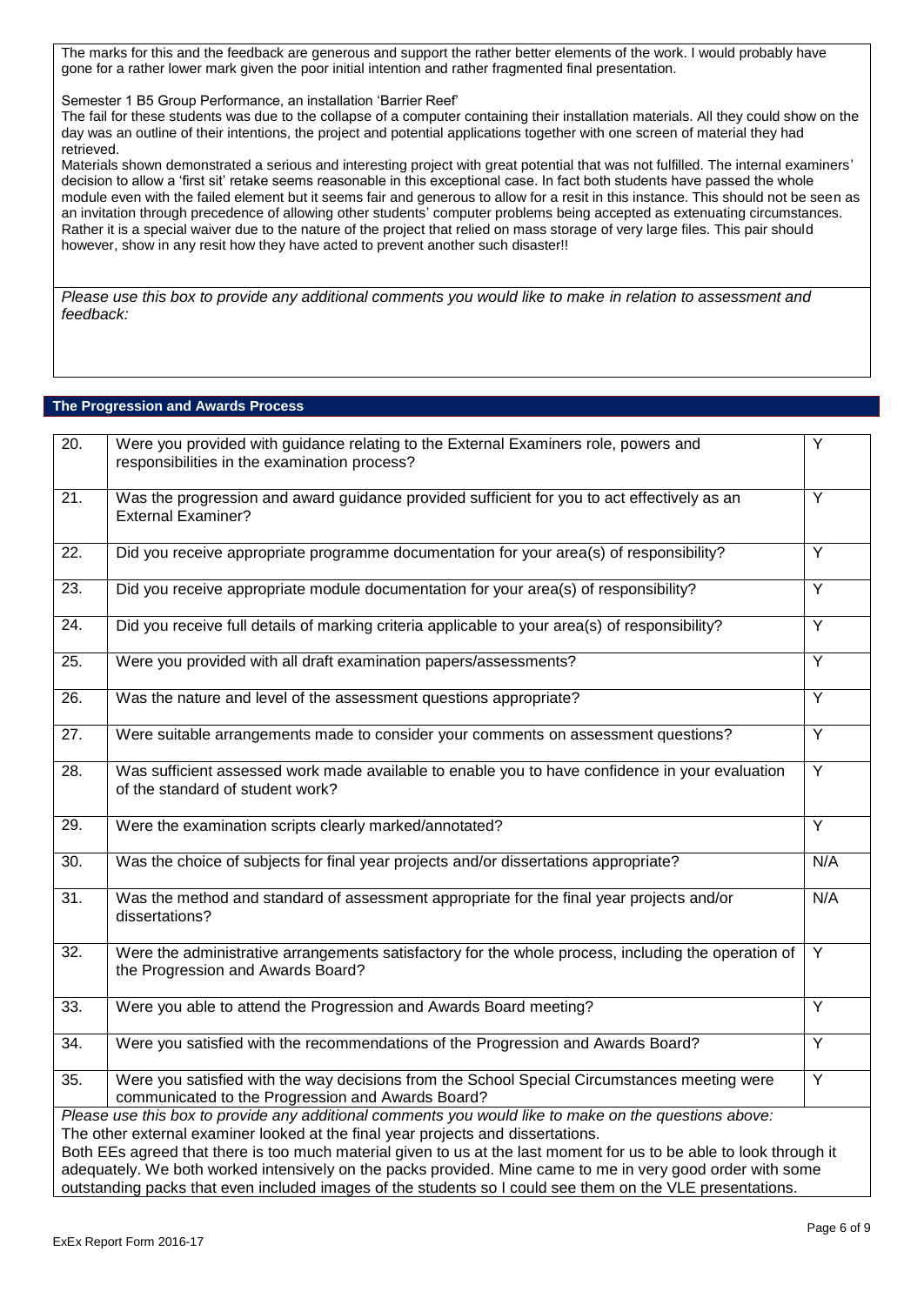The marks for this and the feedback are generous and support the rather better elements of the work. I would probably have gone for a rather lower mark given the poor initial intention and rather fragmented final presentation.

Semester 1 B5 Group Performance, an installation 'Barrier Reef'

The fail for these students was due to the collapse of a computer containing their installation materials. All they could show on the day was an outline of their intentions, the project and potential applications together with one screen of material they had retrieved.

Materials shown demonstrated a serious and interesting project with great potential that was not fulfilled. The internal examiners' decision to allow a 'first sit' retake seems reasonable in this exceptional case. In fact both students have passed the whole module even with the failed element but it seems fair and generous to allow for a resit in this instance. This should not be seen as an invitation through precedence of allowing other students' computer problems being accepted as extenuating circumstances. Rather it is a special waiver due to the nature of the project that relied on mass storage of very large files. This pair should however, show in any resit how they have acted to prevent another such disaster!!

*Please use this box to provide any additional comments you would like to make in relation to assessment and feedback:*

## **The Progression and Awards Process**

| $\overline{20}$ .                                                                                                                                                                                                                                                                                                                                                                                                                                                                                                                           | Were you provided with guidance relating to the External Examiners role, powers and<br>responsibilities in the examination process?               | Y              |
|---------------------------------------------------------------------------------------------------------------------------------------------------------------------------------------------------------------------------------------------------------------------------------------------------------------------------------------------------------------------------------------------------------------------------------------------------------------------------------------------------------------------------------------------|---------------------------------------------------------------------------------------------------------------------------------------------------|----------------|
| $\overline{21}$ .                                                                                                                                                                                                                                                                                                                                                                                                                                                                                                                           | Was the progression and award guidance provided sufficient for you to act effectively as an<br><b>External Examiner?</b>                          | $\overline{Y}$ |
| $\overline{22}$ .                                                                                                                                                                                                                                                                                                                                                                                                                                                                                                                           | Did you receive appropriate programme documentation for your area(s) of responsibility?                                                           | $\overline{Y}$ |
| $\overline{23}$ .                                                                                                                                                                                                                                                                                                                                                                                                                                                                                                                           | Did you receive appropriate module documentation for your area(s) of responsibility?                                                              | Y              |
| 24.                                                                                                                                                                                                                                                                                                                                                                                                                                                                                                                                         | Did you receive full details of marking criteria applicable to your area(s) of responsibility?                                                    | $\overline{Y}$ |
| 25.                                                                                                                                                                                                                                                                                                                                                                                                                                                                                                                                         | Were you provided with all draft examination papers/assessments?                                                                                  | Ÿ              |
| 26.                                                                                                                                                                                                                                                                                                                                                                                                                                                                                                                                         | Was the nature and level of the assessment questions appropriate?                                                                                 | $\overline{Y}$ |
| $\overline{27}$ .                                                                                                                                                                                                                                                                                                                                                                                                                                                                                                                           | Were suitable arrangements made to consider your comments on assessment questions?                                                                | $\overline{Y}$ |
| $\overline{28}$ .                                                                                                                                                                                                                                                                                                                                                                                                                                                                                                                           | Was sufficient assessed work made available to enable you to have confidence in your evaluation<br>of the standard of student work?               | Ÿ              |
| 29.                                                                                                                                                                                                                                                                                                                                                                                                                                                                                                                                         | Were the examination scripts clearly marked/annotated?                                                                                            | Y              |
| 30.                                                                                                                                                                                                                                                                                                                                                                                                                                                                                                                                         | Was the choice of subjects for final year projects and/or dissertations appropriate?                                                              | N/A            |
| 31.                                                                                                                                                                                                                                                                                                                                                                                                                                                                                                                                         | Was the method and standard of assessment appropriate for the final year projects and/or<br>dissertations?                                        | N/A            |
| $\overline{32}$ .                                                                                                                                                                                                                                                                                                                                                                                                                                                                                                                           | Were the administrative arrangements satisfactory for the whole process, including the operation of<br>the Progression and Awards Board?          | $\overline{Y}$ |
| 33.                                                                                                                                                                                                                                                                                                                                                                                                                                                                                                                                         | Were you able to attend the Progression and Awards Board meeting?                                                                                 | Y              |
| 34.                                                                                                                                                                                                                                                                                                                                                                                                                                                                                                                                         | Were you satisfied with the recommendations of the Progression and Awards Board?                                                                  | $\overline{Y}$ |
| 35.                                                                                                                                                                                                                                                                                                                                                                                                                                                                                                                                         | Were you satisfied with the way decisions from the School Special Circumstances meeting were<br>communicated to the Progression and Awards Board? | Y              |
| Please use this box to provide any additional comments you would like to make on the questions above:<br>The other external examiner looked at the final year projects and dissertations.<br>Both EEs agreed that there is too much material given to us at the last moment for us to be able to look through it<br>adequately. We both worked intensively on the packs provided. Mine came to me in very good order with some<br>outstanding packs that even included images of the students so I could see them on the VLE presentations. |                                                                                                                                                   |                |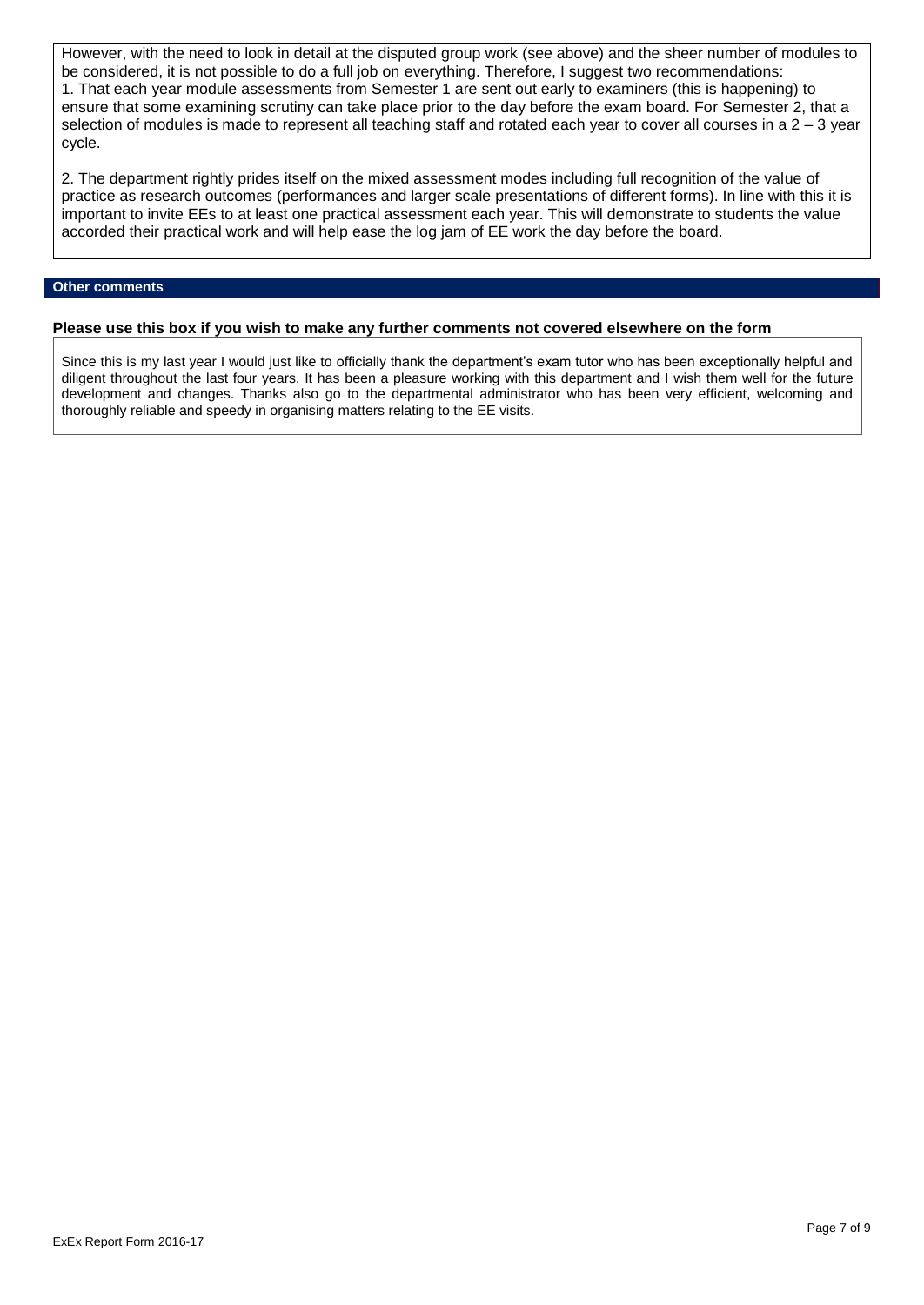However, with the need to look in detail at the disputed group work (see above) and the sheer number of modules to be considered, it is not possible to do a full job on everything. Therefore, I suggest two recommendations: 1. That each year module assessments from Semester 1 are sent out early to examiners (this is happening) to ensure that some examining scrutiny can take place prior to the day before the exam board. For Semester 2, that a selection of modules is made to represent all teaching staff and rotated each year to cover all courses in a  $2 - 3$  year cycle.

2. The department rightly prides itself on the mixed assessment modes including full recognition of the value of practice as research outcomes (performances and larger scale presentations of different forms). In line with this it is important to invite EEs to at least one practical assessment each year. This will demonstrate to students the value accorded their practical work and will help ease the log jam of EE work the day before the board.

## **Other comments**

### **Please use this box if you wish to make any further comments not covered elsewhere on the form**

Since this is my last year I would just like to officially thank the department's exam tutor who has been exceptionally helpful and diligent throughout the last four years. It has been a pleasure working with this department and I wish them well for the future development and changes. Thanks also go to the departmental administrator who has been very efficient, welcoming and thoroughly reliable and speedy in organising matters relating to the EE visits.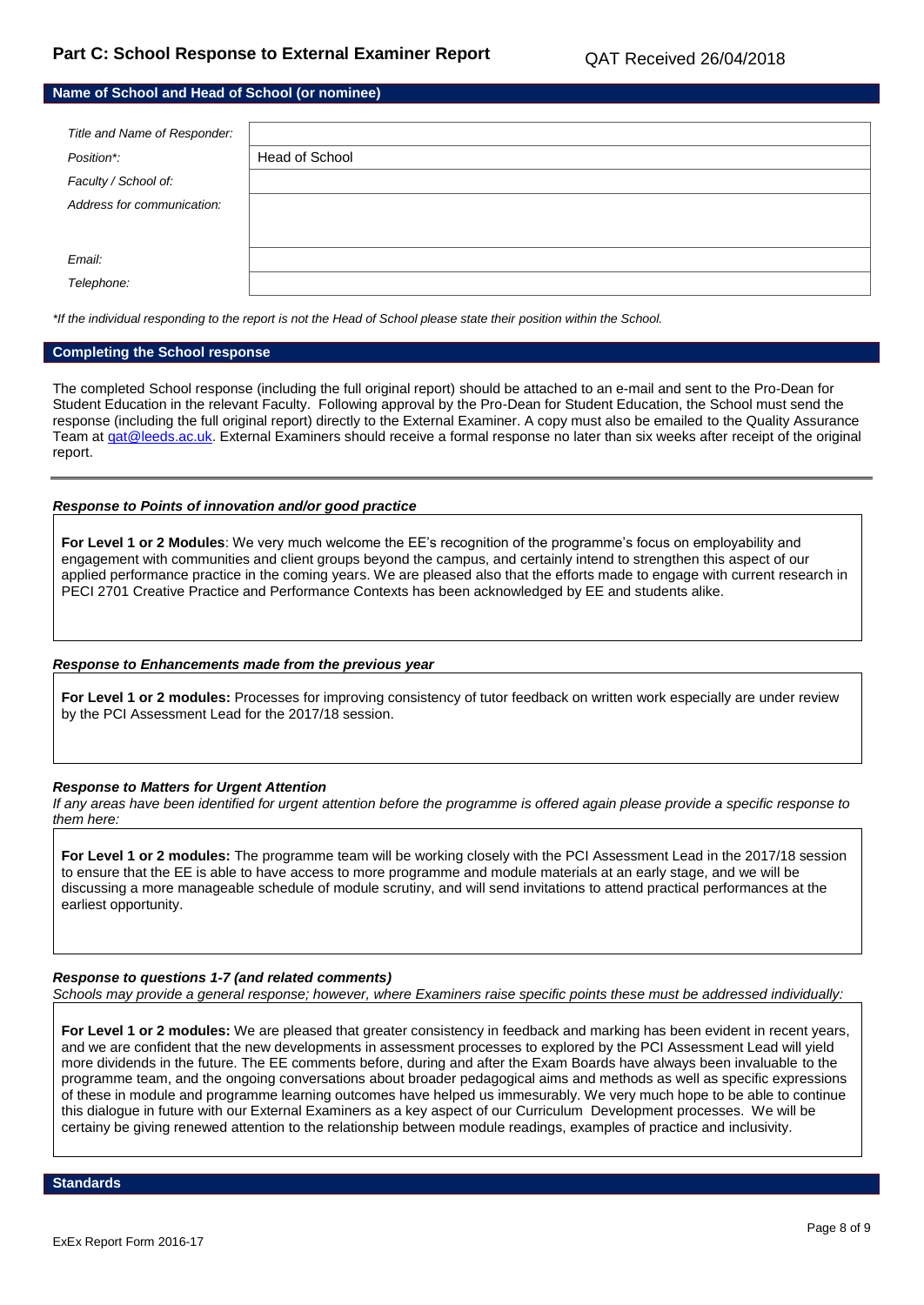**Name of School and Head of School (or nominee)**

| Title and Name of Responder: |                |
|------------------------------|----------------|
| Position*:                   | Head of School |
| Faculty / School of:         |                |
| Address for communication:   |                |
|                              |                |
| Email:                       |                |
| Telephone:                   |                |

*\*If the individual responding to the report is not the Head of School please state their position within the School.*

### **Completing the School response**

The completed School response (including the full original report) should be attached to an e-mail and sent to the Pro-Dean for Student Education in the relevant Faculty. Following approval by the Pro-Dean for Student Education, the School must send the response (including the full original report) directly to the External Examiner. A copy must also be emailed to the Quality Assurance Team at gat@leeds.ac.uk. External Examiners should receive a formal response no later than six weeks after receipt of the original report.

### *Response to Points of innovation and/or good practice*

For Level 1 or 2 Modules: We very much welcome the EE's recognition of the programme's focus on employability and engagement with communities and client groups beyond the campus, and certainly intend to strengthen this aspect of our applied performance practice in the coming years. We are pleased also that the efforts made to engage with current research in PECI 2701 Creative Practice and Performance Contexts has been acknowledged by EE and students alike.

#### *Response to Enhancements made from the previous year*

**For Level 1 or 2 modules:** Processes for improving consistency of tutor feedback on written work especially are under review by the PCI Assessment Lead for the 2017/18 session.

### *Response to Matters for Urgent Attention*

*If any areas have been identified for urgent attention before the programme is offered again please provide a specific response to them here:*

**For Level 1 or 2 modules:** The programme team will be working closely with the PCI Assessment Lead in the 2017/18 session to ensure that the EE is able to have access to more programme and module materials at an early stage, and we will be discussing a more manageable schedule of module scrutiny, and will send invitations to attend practical performances at the earliest opportunity.

### *Response to questions 1-7 (and related comments)*

*Schools may provide a general response; however, where Examiners raise specific points these must be addressed individually:*

**For Level 1 or 2 modules:** We are pleased that greater consistency in feedback and marking has been evident in recent years, and we are confident that the new developments in assessment processes to explored by the PCI Assessment Lead will yield more dividends in the future. The EE comments before, during and after the Exam Boards have always been invaluable to the programme team, and the ongoing conversations about broader pedagogical aims and methods as well as specific expressions of these in module and programme learning outcomes have helped us immesurably. We very much hope to be able to continue this dialogue in future with our External Examiners as a key aspect of our Curriculum Development processes. We will be certainy be giving renewed attention to the relationship between module readings, examples of practice and inclusivity.

**Standards**